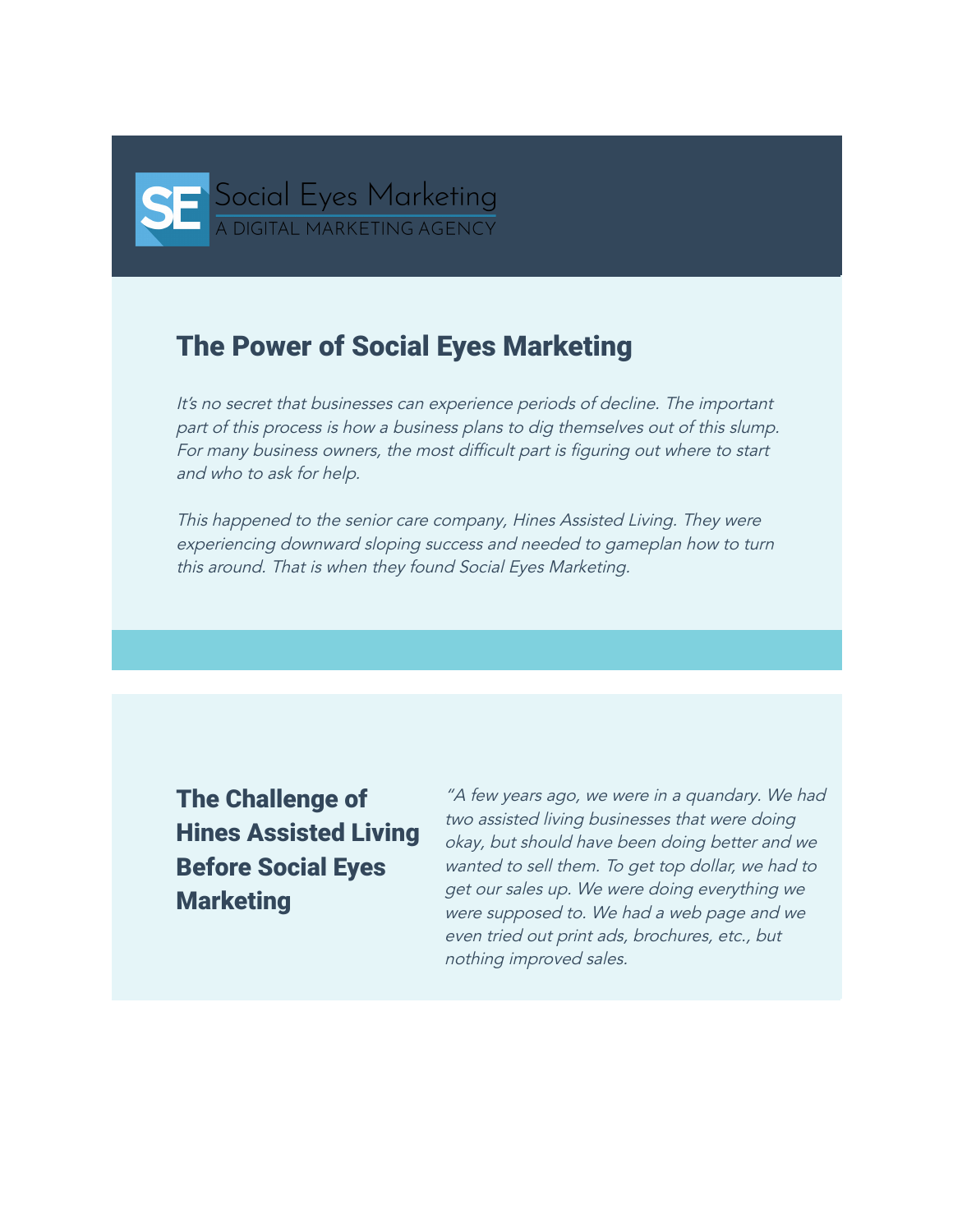

## The Power of Social Eyes Marketing

It's no secret that businesses can experience periods of decline. The important part of this process is how <sup>a</sup> business plans to dig themselves out of this slump. For many business owners, the most difficult part is figuring out where to start and who to ask for help.

This happened to the senior care company, Hines Assisted Living. They were experiencing downward sloping success and needed to gameplan how to turn this around. That is when they found Social Eyes Marketing.

The Challenge of Hines Assisted Living Before Social Eyes **Marketing** 

"A few years ago, we were in <sup>a</sup> quandary. We had two assisted living businesses that were doing okay, but should have been doing better and we wanted to sell them. To get top dollar, we had to get our sales up. We were doing everything we were supposed to. We had <sup>a</sup> web page and we even tried out print ads, brochures, etc., but nothing improved sales.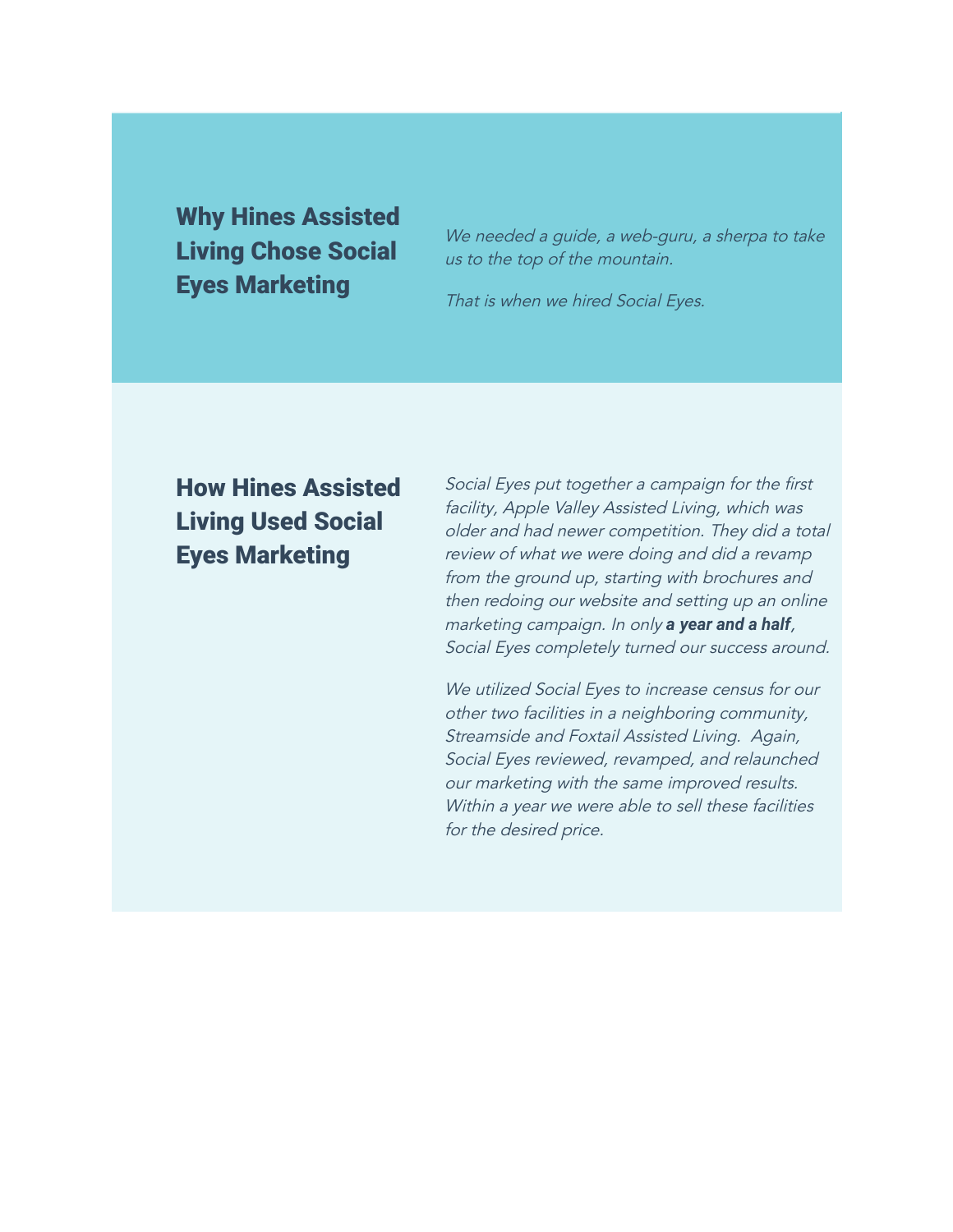Why Hines Assisted Living Chose Social Eyes Marketing

We needed a guide, a web-guru, a sherpa to take us to the top of the mountain.

That is when we hired Social Eyes.

## How Hines Assisted Living Used Social Eyes Marketing

Social Eyes put together <sup>a</sup> campaign for the first facility, Apple Valley Assisted Living, which was older and had newer competition. They did <sup>a</sup> total review of what we were doing and did <sup>a</sup> revamp from the ground up, starting with brochures and then redoing our website and setting up an online marketing campaign. In only *a year and a half*, Social Eyes completely turned our success around.

We utilized Social Eyes to increase census for our other two facilities in <sup>a</sup> neighboring community, Streamside and Foxtail Assisted Living. Again, Social Eyes reviewed, revamped, and relaunched our marketing with the same improved results. Within a year we were able to sell these facilities for the desired price.